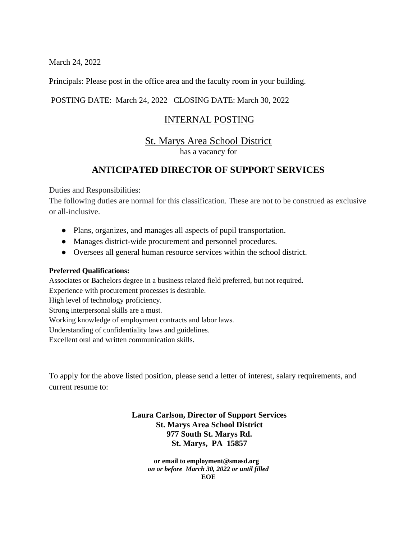March 24, 2022

Principals: Please post in the office area and the faculty room in your building.

#### POSTING DATE: March 24, 2022 CLOSING DATE: March 30, 2022

### INTERNAL POSTING

# St. Marys Area School District

has a vacancy for

## **ANTICIPATED DIRECTOR OF SUPPORT SERVICES**

#### Duties and Responsibilities:

The following duties are normal for this classification. These are not to be construed as exclusive or all-inclusive.

- Plans, organizes, and manages all aspects of pupil transportation.
- Manages district-wide procurement and personnel procedures.
- Oversees all general human resource services within the school district.

#### **Preferred Qualifications:**

Associates or Bachelors degree in a business related field preferred, but not required.

Experience with procurement processes is desirable.

High level of technology proficiency.

Strong interpersonal skills are a must.

Working knowledge of employment contracts and labor laws.

Understanding of confidentiality laws and guidelines.

Excellent oral and written communication skills.

To apply for the above listed position, please send a letter of interest, salary requirements, and current resume to:

#### **Laura Carlson, Director of Support Services St. Marys Area School District 977 South St. Marys Rd. St. Marys, PA 15857**

 **or email to employment@smasd.org**  *on or before March 30, 2022 or until filled* **EOE**